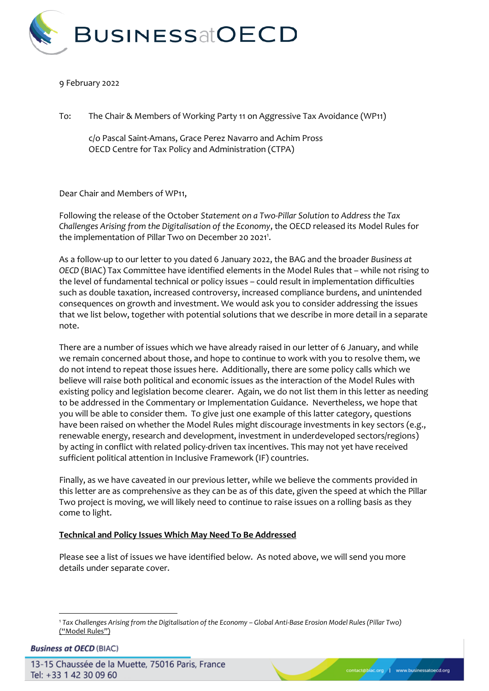

## 9 February 2022

To: The Chair & Members of Working Party 11 on Aggressive Tax Avoidance (WP11)

c/o Pascal Saint-Amans, Grace Perez Navarro and Achim Pross OECD Centre for Tax Policy and Administration (CTPA)

Dear Chair and Members of WP11,

Following the release of the October *Statement on a Two-Pillar Solution to Address the Tax Challenges Arising from the Digitalisation of the Economy*, the OECD released its Model Rules for the implementation of Pillar Two on December 20 2021<sup>1</sup>.

As a follow-up to our letter to you dated 6 January 2022, the BAG and the broader *Business at OECD* (BIAC) Tax Committee have identified elements in the Model Rules that – while not rising to the level of fundamental technical or policy issues – could result in implementation difficulties such as double taxation, increased controversy, increased compliance burdens, and unintended consequences on growth and investment. We would ask you to consider addressing the issues that we list below, together with potential solutions that we describe in more detail in a separate note.

There are a number of issues which we have already raised in our letter of 6 January, and while we remain concerned about those, and hope to continue to work with you to resolve them, we do not intend to repeat those issues here. Additionally, there are some policy calls which we believe will raise both political and economic issues as the interaction of the Model Rules with existing policy and legislation become clearer. Again, we do not list them in this letter as needing to be addressed in the Commentary or Implementation Guidance. Nevertheless, we hope that you will be able to consider them. To give just one example of this latter category, questions have been raised on whether the Model Rules might discourage investments in key sectors (e.g., renewable energy, research and development, investment in underdeveloped sectors/regions) by acting in conflict with related policy-driven tax incentives. This may not yet have received sufficient political attention in Inclusive Framework (IF) countries.

Finally, as we have caveated in our previous letter, while we believe the comments provided in this letter are as comprehensive as they can be as of this date, given the speed at which the Pillar Two project is moving, we will likely need to continue to raise issues on a rolling basis as they come to light.

## **Technical and Policy Issues Which May Need To Be Addressed**

Please see a list of issues we have identified below. As noted above, we will send you more details under separate cover.

**Business at OECD (BIAC)** 

-

<sup>1</sup> Tax Challenges Arising from the Digitalisation of the Economy - Global Anti-Base Erosion Model Rules (Pillar Two) ("Model Rules")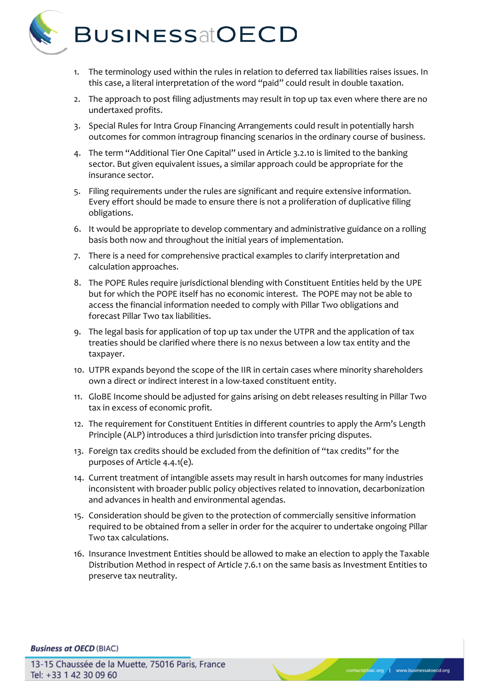

- 1. The terminology used within the rules in relation to deferred tax liabilities raises issues. In this case, a literal interpretation of the word "paid" could result in double taxation.
- 2. The approach to post filing adjustments may result in top up tax even where there are no undertaxed profits.
- 3. Special Rules for Intra Group Financing Arrangements could result in potentially harsh outcomes for common intragroup financing scenarios in the ordinary course of business.
- 4. The term "Additional Tier One Capital" used in Article 3.2.10 is limited to the banking sector. But given equivalent issues, a similar approach could be appropriate for the insurance sector.
- 5. Filing requirements under the rules are significant and require extensive information. Every effort should be made to ensure there is not a proliferation of duplicative filing obligations.
- 6. It would be appropriate to develop commentary and administrative guidance on a rolling basis both now and throughout the initial years of implementation.
- 7. There is a need for comprehensive practical examples to clarify interpretation and calculation approaches.
- 8. The POPE Rules require jurisdictional blending with Constituent Entities held by the UPE but for which the POPE itself has no economic interest. The POPE may not be able to access the financial information needed to comply with Pillar Two obligations and forecast Pillar Two tax liabilities.
- 9. The legal basis for application of top up tax under the UTPR and the application of tax treaties should be clarified where there is no nexus between a low tax entity and the taxpayer.
- 10. UTPR expands beyond the scope of the IIR in certain cases where minority shareholders own a direct or indirect interest in a low-taxed constituent entity.
- 11. GloBE Income should be adjusted for gains arising on debt releases resulting in Pillar Two tax in excess of economic profit.
- 12. The requirement for Constituent Entities in different countries to apply the Arm's Length Principle (ALP) introduces a third jurisdiction into transfer pricing disputes.
- 13. Foreign tax credits should be excluded from the definition of "tax credits" for the purposes of Article 4.4.1(e).
- 14. Current treatment of intangible assets may result in harsh outcomes for many industries inconsistent with broader public policy objectives related to innovation, decarbonization and advances in health and environmental agendas.
- 15. Consideration should be given to the protection of commercially sensitive information required to be obtained from a seller in order for the acquirer to undertake ongoing Pillar Two tax calculations.
- 16. Insurance Investment Entities should be allowed to make an election to apply the Taxable Distribution Method in respect of Article 7.6.1 on the same basis as Investment Entities to preserve tax neutrality.

## **Business at OECD (BIAC)**